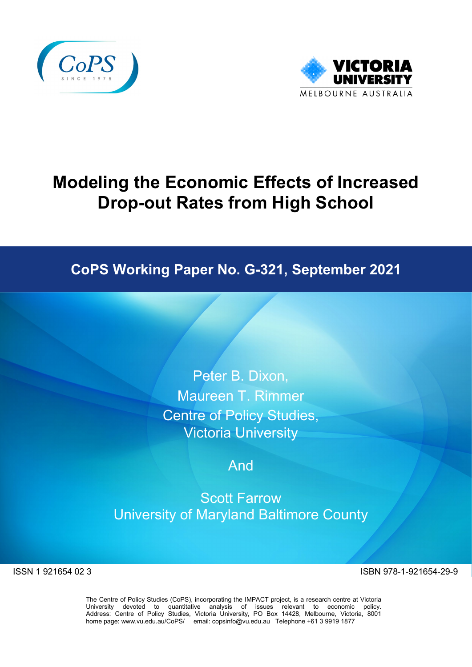



# **Modeling the Economic Effects of Increased Drop-out Rates from High School**

# **CoPS Working Paper No. G-321, September 2021**

Peter B. Dixon, Maureen T. Rimmer Centre of Policy Studies, Victoria University

# And

Scott Farrow University of Maryland Baltimore County

ISSN 1 921654 02 3 ISBN 978-1-921654-29-9

The Centre of Policy Studies (CoPS), incorporating the IMPACT project, is a research centre at Victoria University devoted to quantitative analysis of issues relevant to economic policy. Address: Centre of Policy Studies, Victoria University, PO Box 14428, Melbourne, Victoria, 8001 home page: www.vu.edu.au/CoPS/ email: copsinfo@vu.edu.au Telephone +61 3 9919 1877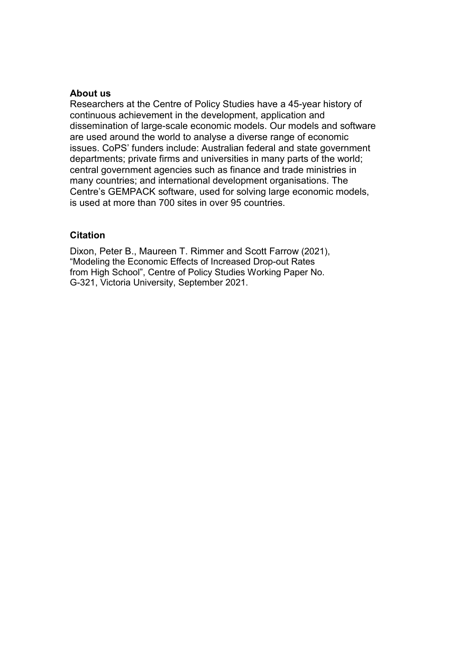#### **About us**

Researchers at the Centre of Policy Studies have a 45-year history of continuous achievement in the development, application and dissemination of large-scale economic models. Our models and software are used around the world to analyse a diverse range of economic issues. CoPS' funders include: Australian federal and state government departments; private firms and universities in many parts of the world; central government agencies such as finance and trade ministries in many countries; and international development organisations. The Centre's GEMPACK software, used for solving large economic models, is used at more than 700 sites in over 95 countries.

### **Citation**

Dixon, Peter B., Maureen T. Rimmer and Scott Farrow (2021), "Modeling the Economic Effects of Increased Drop-out Rates from High School", Centre of Policy Studies Working Paper No. G-321, Victoria University, September 2021.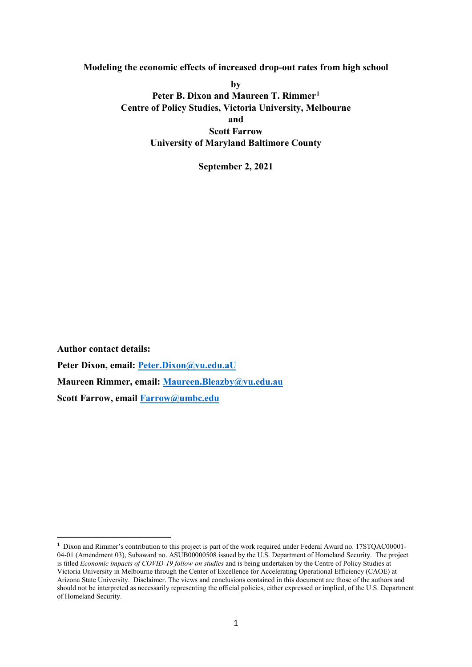**Modeling the economic effects of increased drop-out rates from high school** 

**by Peter B. Dixon and Maureen T. Rimmer[1](#page-2-0) Centre of Policy Studies, Victoria University, Melbourne and Scott Farrow University of Maryland Baltimore County**

**September 2, 2021**

**Author contact details: Peter Dixon, email: [Peter.Dixon@vu.edu.aU](mailto:Peter.Dixon@vu.edu.aU) Maureen Rimmer, email: [Maureen.Bleazby@vu.edu.au](mailto:Maureen.Bleazby@vu.edu.au) Scott Farrow, email [Farrow@umbc.edu](mailto:Farrow@umbc.edu)**

<span id="page-2-0"></span><sup>&</sup>lt;sup>1</sup> Dixon and Rimmer's contribution to this project is part of the work required under Federal Award no. 17STQAC00001-04-01 (Amendment 03), Subaward no. ASUB00000508 issued by the U.S. Department of Homeland Security. The project is titled *Economic impacts of COVID-19 follow-on studies* and is being undertaken by the Centre of Policy Studies at Victoria University in Melbourne through the Center of Excellence for Accelerating Operational Efficiency (CAOE) at Arizona State University. Disclaimer. The views and conclusions contained in this document are those of the authors and should not be interpreted as necessarily representing the official policies, either expressed or implied, of the U.S. Department of Homeland Security.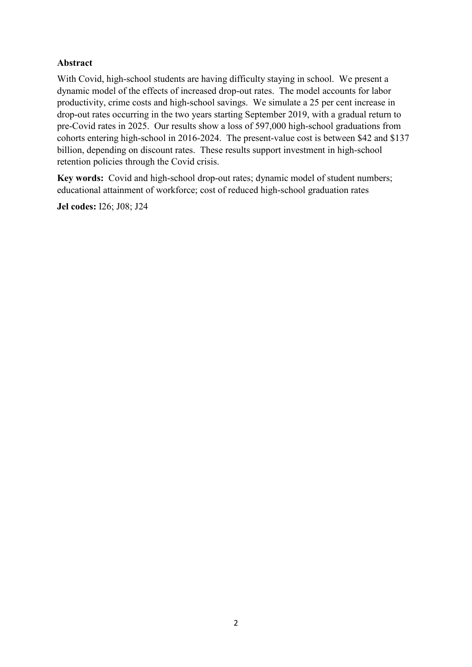## **Abstract**

With Covid, high-school students are having difficulty staying in school. We present a dynamic model of the effects of increased drop-out rates. The model accounts for labor productivity, crime costs and high-school savings. We simulate a 25 per cent increase in drop-out rates occurring in the two years starting September 2019, with a gradual return to pre-Covid rates in 2025. Our results show a loss of 597,000 high-school graduations from cohorts entering high-school in 2016-2024. The present-value cost is between \$42 and \$137 billion, depending on discount rates. These results support investment in high-school retention policies through the Covid crisis.

**Key words:** Covid and high-school drop-out rates; dynamic model of student numbers; educational attainment of workforce; cost of reduced high-school graduation rates

**Jel codes:** I26; J08; J24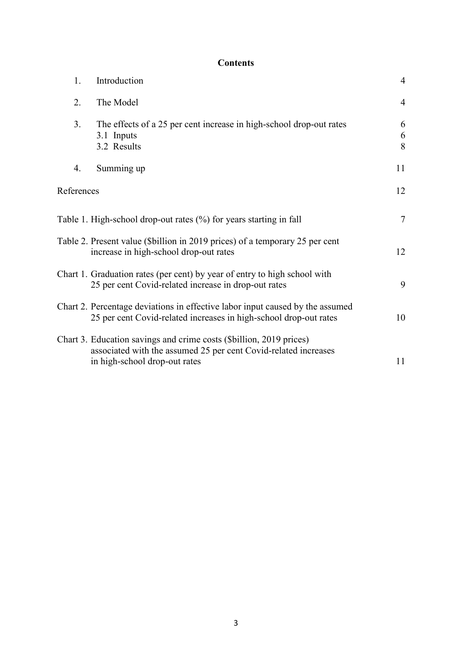# **Contents**

| 1.         | Introduction                                                                                                                                                            | $\overline{4}$ |
|------------|-------------------------------------------------------------------------------------------------------------------------------------------------------------------------|----------------|
| 2.         | The Model                                                                                                                                                               | $\overline{4}$ |
| 3.         | The effects of a 25 per cent increase in high-school drop-out rates<br>3.1 Inputs<br>3.2 Results                                                                        | 6<br>6<br>8    |
| 4.         | Summing up                                                                                                                                                              | 11             |
| References |                                                                                                                                                                         | 12             |
|            | Table 1. High-school drop-out rates (%) for years starting in fall                                                                                                      | $\overline{7}$ |
|            | Table 2. Present value (\$billion in 2019 prices) of a temporary 25 per cent<br>increase in high-school drop-out rates                                                  | 12             |
|            | Chart 1. Graduation rates (per cent) by year of entry to high school with<br>25 per cent Covid-related increase in drop-out rates                                       | 9              |
|            | Chart 2. Percentage deviations in effective labor input caused by the assumed<br>25 per cent Covid-related increases in high-school drop-out rates                      | 10             |
|            | Chart 3. Education savings and crime costs (\$billion, 2019 prices)<br>associated with the assumed 25 per cent Covid-related increases<br>in high-school drop-out rates | 11             |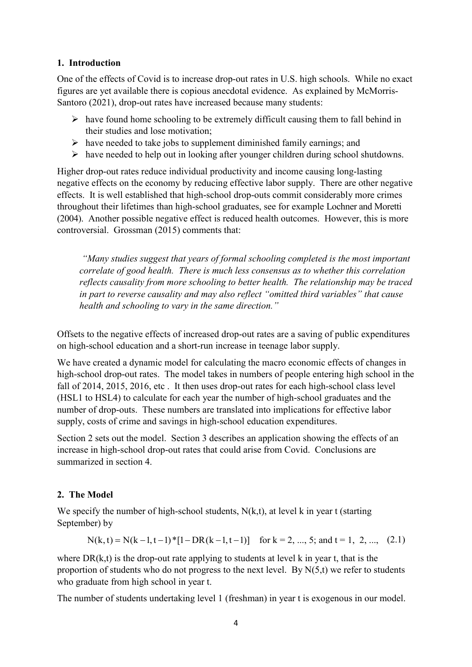#### **1. Introduction**

One of the effects of Covid is to increase drop-out rates in U.S. high schools. While no exact figures are yet available there is copious anecdotal evidence. As explained by McMorris-Santoro (2021), drop-out rates have increased because many students:

- $\triangleright$  have found home schooling to be extremely difficult causing them to fall behind in their studies and lose motivation;
- $\triangleright$  have needed to take jobs to supplement diminished family earnings; and
- $\triangleright$  have needed to help out in looking after younger children during school shutdowns.

Higher drop-out rates reduce individual productivity and income causing long-lasting negative effects on the economy by reducing effective labor supply. There are other negative effects. It is well established that high-school drop-outs commit considerably more crimes throughout their lifetimes than high-school graduates, see for example Lochner and Moretti (2004). Another possible negative effect is reduced health outcomes. However, this is more controversial. Grossman (2015) comments that:

*"Many studies suggest that years of formal schooling completed is the most important correlate of good health. There is much less consensus as to whether this correlation reflects causality from more schooling to better health. The relationship may be traced in part to reverse causality and may also reflect "omitted third variables" that cause health and schooling to vary in the same direction."*

Offsets to the negative effects of increased drop-out rates are a saving of public expenditures on high-school education and a short-run increase in teenage labor supply.

We have created a dynamic model for calculating the macro economic effects of changes in high-school drop-out rates. The model takes in numbers of people entering high school in the fall of 2014, 2015, 2016, etc . It then uses drop-out rates for each high-school class level (HSL1 to HSL4) to calculate for each year the number of high-school graduates and the number of drop-outs. These numbers are translated into implications for effective labor supply, costs of crime and savings in high-school education expenditures.

Section 2 sets out the model. Section 3 describes an application showing the effects of an increase in high-school drop-out rates that could arise from Covid. Conclusions are summarized in section 4.

### **2. The Model**

We specify the number of high-school students,  $N(k,t)$ , at level k in year t (starting September) by

$$
N(k, t) = N(k-1, t-1)*[1-DR(k-1, t-1)] \text{ for } k = 2, ..., 5; \text{ and } t = 1, 2, ..., (2.1)
$$

where  $DR(k,t)$  is the drop-out rate applying to students at level k in year t, that is the proportion of students who do not progress to the next level. By  $N(5,t)$  we refer to students who graduate from high school in year t.

The number of students undertaking level 1 (freshman) in year t is exogenous in our model.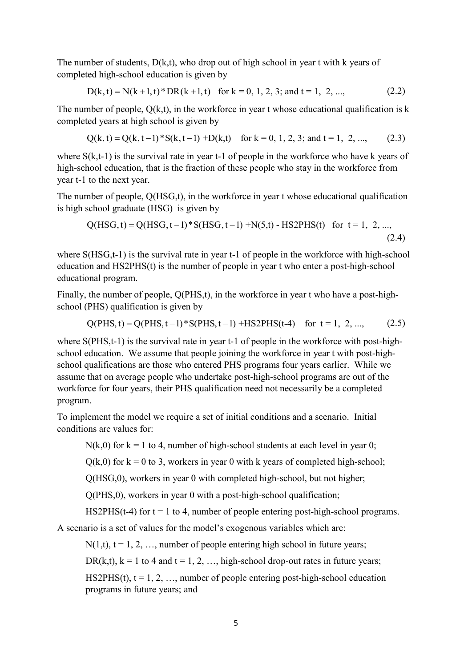The number of students,  $D(k,t)$ , who drop out of high school in year t with k years of completed high-school education is given by

$$
D(k, t) = N(k+1, t) * DR(k+1, t) \quad \text{for } k = 0, 1, 2, 3; \text{ and } t = 1, 2, ..., \tag{2.2}
$$

The number of people,  $O(k,t)$ , in the workforce in year t whose educational qualification is k completed years at high school is given by

$$
Q(k, t) = Q(k, t-1) * S(k, t-1) + D(k, t) \quad \text{for } k = 0, 1, 2, 3; \text{ and } t = 1, 2, ..., \tag{2.3}
$$

where  $S(k,t-1)$  is the survival rate in year t-1 of people in the workforce who have k years of high-school education, that is the fraction of these people who stay in the workforce from year t-1 to the next year.

The number of people, Q(HSG,t), in the workforce in year t whose educational qualification is high school graduate (HSG) is given by

$$
Q(HSG, t) = Q(HSG, t-1) * S(HSG, t-1) + N(5, t) - HSQPHS(t) \text{ for } t = 1, 2, ...,
$$
\n(2.4)

where S(HSG,t-1) is the survival rate in year t-1 of people in the workforce with high-school education and HS2PHS(t) is the number of people in year t who enter a post-high-school educational program.

Finally, the number of people, Q(PHS,t), in the workforce in year t who have a post-highschool (PHS) qualification is given by

$$
Q(PHS, t) = Q(PHS, t-1) * S(PHS, t-1) + HS2PHS(t-4) \quad \text{for } t = 1, 2, ..., \tag{2.5}
$$

where S(PHS,t-1) is the survival rate in year t-1 of people in the workforce with post-highschool education. We assume that people joining the workforce in year t with post-highschool qualifications are those who entered PHS programs four years earlier. While we assume that on average people who undertake post-high-school programs are out of the workforce for four years, their PHS qualification need not necessarily be a completed program.

To implement the model we require a set of initial conditions and a scenario. Initial conditions are values for:

 $N(k,0)$  for  $k = 1$  to 4, number of high-school students at each level in year 0;

 $Q(k,0)$  for  $k = 0$  to 3, workers in year 0 with k years of completed high-school;

Q(HSG,0), workers in year 0 with completed high-school, but not higher;

Q(PHS,0), workers in year 0 with a post-high-school qualification;

HS2PHS(t-4) for  $t = 1$  to 4, number of people entering post-high-school programs.

A scenario is a set of values for the model's exogenous variables which are:

 $N(1,t)$ ,  $t = 1, 2, \ldots$ , number of people entering high school in future years;

DR(k,t),  $k = 1$  to 4 and  $t = 1, 2, ...,$  high-school drop-out rates in future years;

HS2PHS(t),  $t = 1, 2, \ldots$ , number of people entering post-high-school education programs in future years; and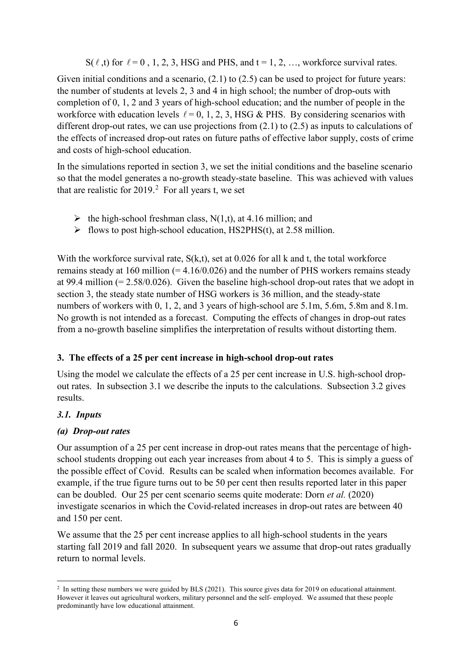$S(\ell, t)$  for  $\ell = 0, 1, 2, 3$ , HSG and PHS, and  $t = 1, 2, ...,$  workforce survival rates.

Given initial conditions and a scenario,  $(2.1)$  to  $(2.5)$  can be used to project for future years: the number of students at levels 2, 3 and 4 in high school; the number of drop-outs with completion of 0, 1, 2 and 3 years of high-school education; and the number of people in the workforce with education levels  $\ell = 0, 1, 2, 3$ , HSG & PHS. By considering scenarios with different drop-out rates, we can use projections from (2.1) to (2.5) as inputs to calculations of the effects of increased drop-out rates on future paths of effective labor supply, costs of crime and costs of high-school education.

In the simulations reported in section 3, we set the initial conditions and the baseline scenario so that the model generates a no-growth steady-state baseline. This was achieved with values that are realistic for  $2019<sup>2</sup>$  $2019<sup>2</sup>$  For all years t, we set

- $\blacktriangleright$  the high-school freshman class, N(1,t), at 4.16 million; and
- $\triangleright$  flows to post high-school education, HS2PHS(t), at 2.58 million.

With the workforce survival rate,  $S(k,t)$ , set at 0.026 for all k and t, the total workforce remains steady at 160 million  $(= 4.16/0.026)$  and the number of PHS workers remains steady at 99.4 million  $(= 2.58/0.026)$ . Given the baseline high-school drop-out rates that we adopt in section 3, the steady state number of HSG workers is 36 million, and the steady-state numbers of workers with 0, 1, 2, and 3 years of high-school are 5.1m, 5.6m, 5.8m and 8.1m. No growth is not intended as a forecast. Computing the effects of changes in drop-out rates from a no-growth baseline simplifies the interpretation of results without distorting them.

### **3. The effects of a 25 per cent increase in high-school drop-out rates**

Using the model we calculate the effects of a 25 per cent increase in U.S. high-school dropout rates. In subsection 3.1 we describe the inputs to the calculations. Subsection 3.2 gives results.

# *3.1. Inputs*

### *(a) Drop-out rates*

Our assumption of a 25 per cent increase in drop-out rates means that the percentage of highschool students dropping out each year increases from about 4 to 5. This is simply a guess of the possible effect of Covid. Results can be scaled when information becomes available. For example, if the true figure turns out to be 50 per cent then results reported later in this paper can be doubled. Our 25 per cent scenario seems quite moderate: Dorn *et al.* (2020) investigate scenarios in which the Covid-related increases in drop-out rates are between 40 and 150 per cent.

We assume that the 25 per cent increase applies to all high-school students in the years starting fall 2019 and fall 2020. In subsequent years we assume that drop-out rates gradually return to normal levels.

<span id="page-7-0"></span><sup>&</sup>lt;u>.</u> <sup>2</sup> In setting these numbers we were guided by BLS (2021). This source gives data for 2019 on educational attainment. However it leaves out agricultural workers, military personnel and the self- employed. We assumed that these people predominantly have low educational attainment.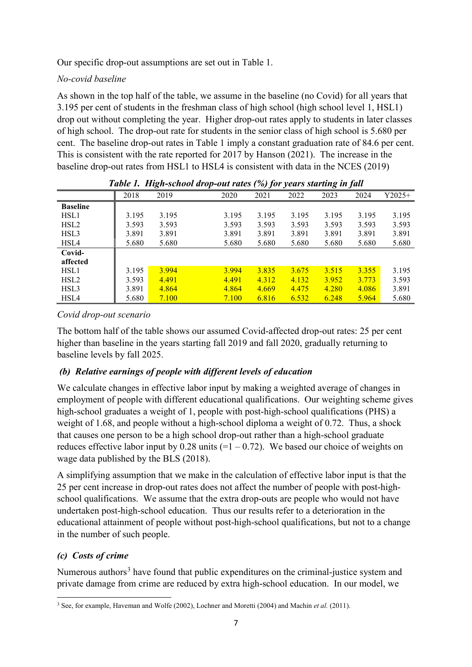Our specific drop-out assumptions are set out in Table 1.

# *No-covid baseline*

As shown in the top half of the table, we assume in the baseline (no Covid) for all years that 3.195 per cent of students in the freshman class of high school (high school level 1, HSL1) drop out without completing the year. Higher drop-out rates apply to students in later classes of high school. The drop-out rate for students in the senior class of high school is 5.680 per cent. The baseline drop-out rates in Table 1 imply a constant graduation rate of 84.6 per cent. This is consistent with the rate reported for 2017 by Hanson (2021). The increase in the baseline drop-out rates from HSL1 to HSL4 is consistent with data in the NCES (2019)

| Table 1. Etign-school arop-out rates (76) for years starting in fall |       |       |       |       |       |       |       |          |
|----------------------------------------------------------------------|-------|-------|-------|-------|-------|-------|-------|----------|
|                                                                      | 2018  | 2019  | 2020  | 2021  | 2022  | 2023  | 2024  | $Y2025+$ |
| <b>Baseline</b>                                                      |       |       |       |       |       |       |       |          |
| HSL1                                                                 | 3.195 | 3.195 | 3.195 | 3.195 | 3.195 | 3.195 | 3.195 | 3.195    |
| HSL <sub>2</sub>                                                     | 3.593 | 3.593 | 3.593 | 3.593 | 3.593 | 3.593 | 3.593 | 3.593    |
| HSL3                                                                 | 3.891 | 3.891 | 3.891 | 3.891 | 3.891 | 3.891 | 3.891 | 3.891    |
| HSL4                                                                 | 5.680 | 5.680 | 5.680 | 5.680 | 5.680 | 5.680 | 5.680 | 5.680    |
| Covid-                                                               |       |       |       |       |       |       |       |          |
| affected                                                             |       |       |       |       |       |       |       |          |
| HSL1                                                                 | 3.195 | 3.994 | 3.994 | 3.835 | 3.675 | 3.515 | 3.355 | 3.195    |
| HSL <sub>2</sub>                                                     | 3.593 | 4.491 | 4.491 | 4.312 | 4.132 | 3.952 | 3.773 | 3.593    |
| HSL3                                                                 | 3.891 | 4.864 | 4.864 | 4.669 | 4.475 | 4.280 | 4.086 | 3.891    |
| HSL4                                                                 | 5.680 | 7.100 | 7.100 | 6.816 | 6.532 | 6.248 | 5.964 | 5.680    |

|  |  | Table 1. High-school drop-out rates (%) for years starting in fall |  |  |  |  |
|--|--|--------------------------------------------------------------------|--|--|--|--|
|--|--|--------------------------------------------------------------------|--|--|--|--|

# *Covid drop-out scenario*

The bottom half of the table shows our assumed Covid-affected drop-out rates: 25 per cent higher than baseline in the years starting fall 2019 and fall 2020, gradually returning to baseline levels by fall 2025.

# *(b) Relative earnings of people with different levels of education*

We calculate changes in effective labor input by making a weighted average of changes in employment of people with different educational qualifications. Our weighting scheme gives high-school graduates a weight of 1, people with post-high-school qualifications (PHS) a weight of 1.68, and people without a high-school diploma a weight of 0.72. Thus, a shock that causes one person to be a high school drop-out rather than a high-school graduate reduces effective labor input by 0.28 units  $(=1 - 0.72)$ . We based our choice of weights on wage data published by the BLS (2018).

A simplifying assumption that we make in the calculation of effective labor input is that the 25 per cent increase in drop-out rates does not affect the number of people with post-highschool qualifications. We assume that the extra drop-outs are people who would not have undertaken post-high-school education. Thus our results refer to a deterioration in the educational attainment of people without post-high-school qualifications, but not to a change in the number of such people.

# *(c) Costs of crime*

Numerous authors<sup>[3](#page-8-0)</sup> have found that public expenditures on the criminal-justice system and private damage from crime are reduced by extra high-school education. In our model, we

<span id="page-8-0"></span> $\overline{a}$ <sup>3</sup> See, for example, Haveman and Wolfe (2002), Lochner and Moretti (2004) and Machin *et al.* (2011).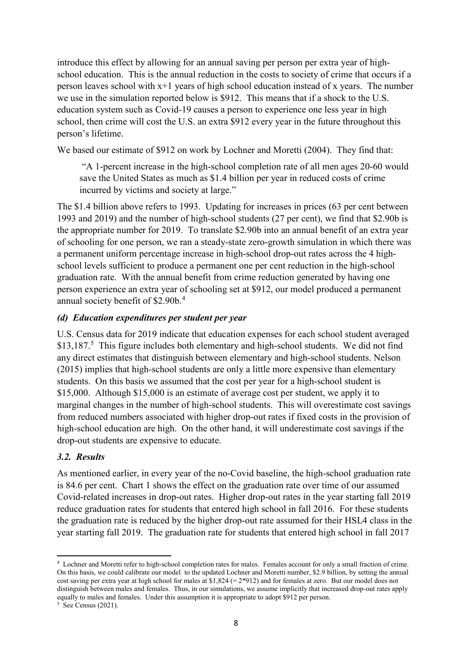introduce this effect by allowing for an annual saving per person per extra year of highschool education. This is the annual reduction in the costs to society of crime that occurs if a person leaves school with x+1 years of high school education instead of x years. The number we use in the simulation reported below is \$912. This means that if a shock to the U.S. education system such as Covid-19 causes a person to experience one less year in high school, then crime will cost the U.S. an extra \$912 every year in the future throughout this person's lifetime.

We based our estimate of \$912 on work by Lochner and Moretti (2004). They find that:

"A 1-percent increase in the high-school completion rate of all men ages 20-60 would save the United States as much as \$1.4 billion per year in reduced costs of crime incurred by victims and society at large."

The \$1.4 billion above refers to 1993. Updating for increases in prices (63 per cent between 1993 and 2019) and the number of high-school students (27 per cent), we find that \$2.90b is the appropriate number for 2019. To translate \$2.90b into an annual benefit of an extra year of schooling for one person, we ran a steady-state zero-growth simulation in which there was a permanent uniform percentage increase in high-school drop-out rates across the 4 highschool levels sufficient to produce a permanent one per cent reduction in the high-school graduation rate. With the annual benefit from crime reduction generated by having one person experience an extra year of schooling set at \$912, our model produced a permanent annual society benefit of \$2.90b.<sup>[4](#page-9-0)</sup>

### *(d) Education expenditures per student per year*

U.S. Census data for 2019 indicate that education expenses for each school student averaged \$13,187.<sup>[5](#page-9-1)</sup> This figure includes both elementary and high-school students. We did not find any direct estimates that distinguish between elementary and high-school students. Nelson (2015) implies that high-school students are only a little more expensive than elementary students. On this basis we assumed that the cost per year for a high-school student is \$15,000. Although \$15,000 is an estimate of average cost per student, we apply it to marginal changes in the number of high-school students. This will overestimate cost savings from reduced numbers associated with higher drop-out rates if fixed costs in the provision of high-school education are high. On the other hand, it will underestimate cost savings if the drop-out students are expensive to educate.

### *3.2. Results*

As mentioned earlier, in every year of the no-Covid baseline, the high-school graduation rate is 84.6 per cent. Chart 1 shows the effect on the graduation rate over time of our assumed Covid-related increases in drop-out rates. Higher drop-out rates in the year starting fall 2019 reduce graduation rates for students that entered high school in fall 2016. For these students the graduation rate is reduced by the higher drop-out rate assumed for their HSL4 class in the year starting fall 2019. The graduation rate for students that entered high school in fall 2017

 $\overline{a}$ 

<span id="page-9-0"></span><sup>4</sup> Lochner and Moretti refer to high-school completion rates for males. Females account for only a small fraction of crime. On this basis, we could calibrate our model to the updated Lochner and Moretti number, \$2.9 billion, by setting the annual cost saving per extra year at high school for males at  $$1,824 (= 2*912)$  and for females at zero. But our model does not distinguish between males and females. Thus, in our simulations, we assume implicitly that increased drop-out rates apply equally to males and females. Under this assumption it is appropriate to adopt \$912 per person.

<span id="page-9-1"></span> $5 \text{ See}$  Census (2021).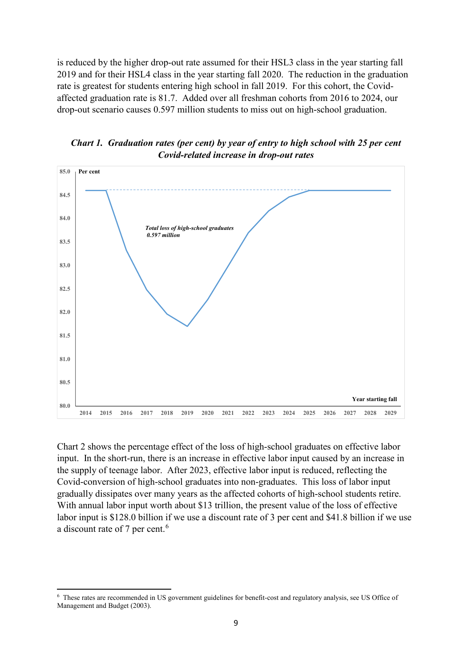is reduced by the higher drop-out rate assumed for their HSL3 class in the year starting fall 2019 and for their HSL4 class in the year starting fall 2020. The reduction in the graduation rate is greatest for students entering high school in fall 2019. For this cohort, the Covidaffected graduation rate is 81.7. Added over all freshman cohorts from 2016 to 2024, our drop-out scenario causes 0.597 million students to miss out on high-school graduation.





Chart 2 shows the percentage effect of the loss of high-school graduates on effective labor input. In the short-run, there is an increase in effective labor input caused by an increase in the supply of teenage labor. After 2023, effective labor input is reduced, reflecting the Covid-conversion of high-school graduates into non-graduates. This loss of labor input gradually dissipates over many years as the affected cohorts of high-school students retire. With annual labor input worth about \$13 trillion, the present value of the loss of effective labor input is \$128.0 billion if we use a discount rate of 3 per cent and \$41.8 billion if we use a discount rate of 7 per cent.<sup>[6](#page-10-0)</sup>

 $\overline{a}$ 

<span id="page-10-0"></span><sup>6</sup> These rates are recommended in US government guidelines for benefit-cost and regulatory analysis, see US Office of Management and Budget (2003).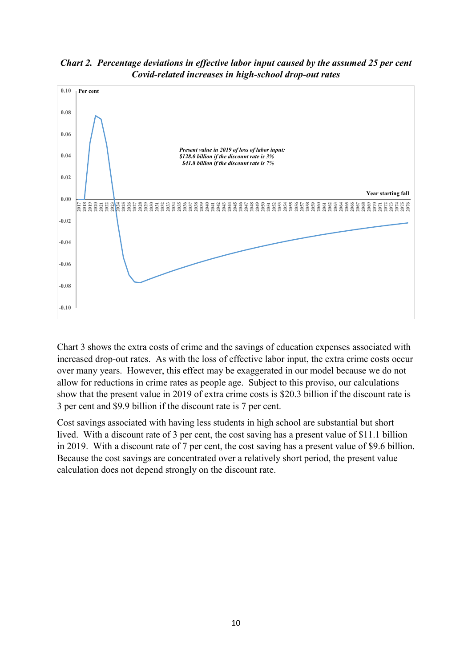*Chart 2. Percentage deviations in effective labor input caused by the assumed 25 per cent Covid-related increases in high-school drop-out rates*



Chart 3 shows the extra costs of crime and the savings of education expenses associated with increased drop-out rates. As with the loss of effective labor input, the extra crime costs occur over many years. However, this effect may be exaggerated in our model because we do not allow for reductions in crime rates as people age. Subject to this proviso, our calculations show that the present value in 2019 of extra crime costs is \$20.3 billion if the discount rate is 3 per cent and \$9.9 billion if the discount rate is 7 per cent.

Cost savings associated with having less students in high school are substantial but short lived. With a discount rate of 3 per cent, the cost saving has a present value of \$11.1 billion in 2019. With a discount rate of 7 per cent, the cost saving has a present value of \$9.6 billion. Because the cost savings are concentrated over a relatively short period, the present value calculation does not depend strongly on the discount rate.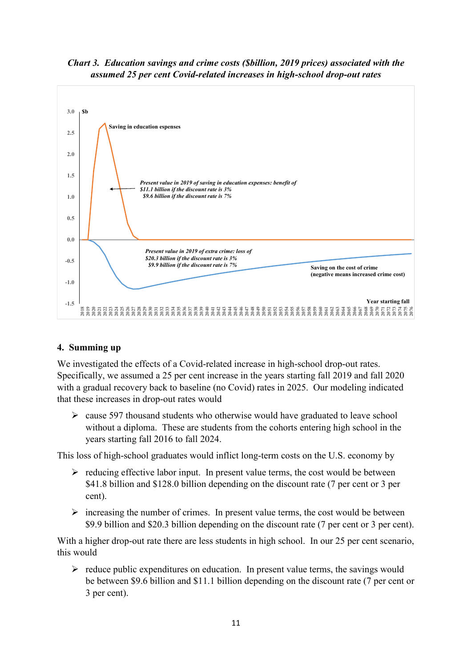*Chart 3. Education savings and crime costs (\$billion, 2019 prices) associated with the assumed 25 per cent Covid-related increases in high-school drop-out rates*



### **4. Summing up**

We investigated the effects of a Covid-related increase in high-school drop-out rates. Specifically, we assumed a 25 per cent increase in the years starting fall 2019 and fall 2020 with a gradual recovery back to baseline (no Covid) rates in 2025. Our modeling indicated that these increases in drop-out rates would

 $\geq$  cause 597 thousand students who otherwise would have graduated to leave school without a diploma. These are students from the cohorts entering high school in the years starting fall 2016 to fall 2024.

This loss of high-school graduates would inflict long-term costs on the U.S. economy by

- $\triangleright$  reducing effective labor input. In present value terms, the cost would be between \$41.8 billion and \$128.0 billion depending on the discount rate (7 per cent or 3 per cent).
- $\triangleright$  increasing the number of crimes. In present value terms, the cost would be between \$9.9 billion and \$20.3 billion depending on the discount rate (7 per cent or 3 per cent).

With a higher drop-out rate there are less students in high school. In our 25 per cent scenario, this would

 $\triangleright$  reduce public expenditures on education. In present value terms, the savings would be between \$9.6 billion and \$11.1 billion depending on the discount rate (7 per cent or 3 per cent).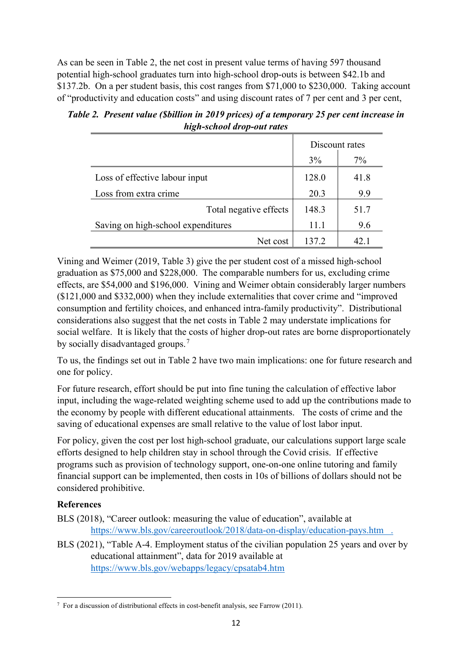As can be seen in Table 2, the net cost in present value terms of having 597 thousand potential high-school graduates turn into high-school drop-outs is between \$42.1b and \$137.2b. On a per student basis, this cost ranges from \$71,000 to \$230,000. Taking account of "productivity and education costs" and using discount rates of 7 per cent and 3 per cent,

| Table 2. Present value (Sbillion in 2019 prices) of a temporary 25 per cent increase in |
|-----------------------------------------------------------------------------------------|
| high-school drop-out rates                                                              |

|                                    | Discount rates |      |  |
|------------------------------------|----------------|------|--|
|                                    | 3%             | 7%   |  |
| Loss of effective labour input     | 128.0          | 41.8 |  |
| Loss from extra crime              | 20.3           | 9.9  |  |
| Total negative effects             | 148.3          | 51.7 |  |
| Saving on high-school expenditures | 11.1           | 9.6  |  |
| Net cost                           | 137.2          | 42.1 |  |

Vining and Weimer (2019, Table 3) give the per student cost of a missed high-school graduation as \$75,000 and \$228,000. The comparable numbers for us, excluding crime effects, are \$54,000 and \$196,000. Vining and Weimer obtain considerably larger numbers (\$121,000 and \$332,000) when they include externalities that cover crime and "improved consumption and fertility choices, and enhanced intra-family productivity". Distributional considerations also suggest that the net costs in Table 2 may understate implications for social welfare. It is likely that the costs of higher drop-out rates are borne disproportionately by socially disadvantaged groups.<sup>[7](#page-13-0)</sup>

To us, the findings set out in Table 2 have two main implications: one for future research and one for policy.

For future research, effort should be put into fine tuning the calculation of effective labor input, including the wage-related weighting scheme used to add up the contributions made to the economy by people with different educational attainments. The costs of crime and the saving of educational expenses are small relative to the value of lost labor input.

For policy, given the cost per lost high-school graduate, our calculations support large scale efforts designed to help children stay in school through the Covid crisis. If effective programs such as provision of technology support, one-on-one online tutoring and family financial support can be implemented, then costs in 10s of billions of dollars should not be considered prohibitive.

# **References**

- BLS (2018), "Career outlook: measuring the value of education", available at <https://www.bls.gov/careeroutlook/2018/data-on-display/education-pays.htm>.
- BLS (2021), "Table A-4. Employment status of the civilian population 25 years and over by educational attainment", data for 2019 available at <https://www.bls.gov/webapps/legacy/cpsatab4.htm>

<span id="page-13-0"></span> $\overline{a}$  $7$  For a discussion of distributional effects in cost-benefit analysis, see Farrow (2011).